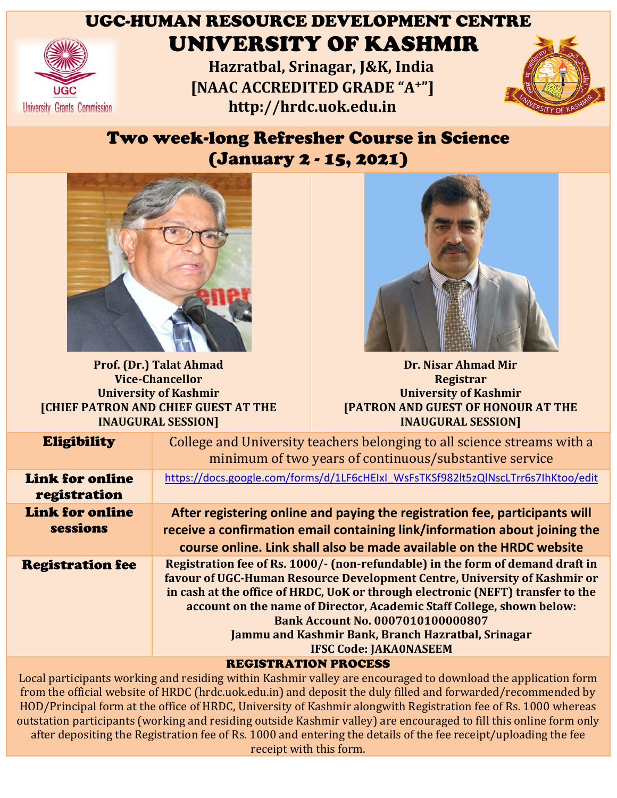

## UGC-HUMAN RESOURCE DEVELOPMENT CENTRE UNIVERSITY OF KASHMIR

**Hazratbal, Srinagar, J&K, India [NAAC ACCREDITED GRADE "A J&K, [NAAC <sup>+</sup>"] http://hrdc.uok.edu.in http://hrdc.uok.edu.in**



## Two week-long Refresher Course in Science<br>(January 2 - 15, 2021) (January 2



**Prof. (Dr.) Talat Ahmad Vice-Chancellor University of Kashmir [CHIEF PATRON AND CHIEF GUEST AT THE INAUGURAL SESSION]**



**Dr. Nisar Ahmad Mir Mir Registrar University of Kashmir Kashmir [PATRON AND GUEST OF HONOUR AT THE OF HONOUR INAUGURAL SESSION]**

| <b>Eligibility</b>                     | College and University teachers belonging to all science streams with a<br>minimum of two years of continuous/substantive service                                                                                                                                                                                                                                                                                                                          |
|----------------------------------------|------------------------------------------------------------------------------------------------------------------------------------------------------------------------------------------------------------------------------------------------------------------------------------------------------------------------------------------------------------------------------------------------------------------------------------------------------------|
| <b>Link for online</b><br>registration | https://docs.google.com/forms/d/1LF6cHEIxI_WsFsTKSf982lt5zQlNscLTrr6s7lhKtoo/edit                                                                                                                                                                                                                                                                                                                                                                          |
| <b>Link for online</b><br>sessions     | After registering online and paying the registration fee, participants will<br>receive a confirmation email containing link/information about joining the<br>course online. Link shall also be made available on the HRDC website                                                                                                                                                                                                                          |
| <b>Registration fee</b>                | Registration fee of Rs. 1000/- (non-refundable) in the form of demand draft in<br>favour of UGC-Human Resource Development Centre, University of Kashmir or<br>in cash at the office of HRDC, UoK or through electronic (NEFT) transfer to the<br>account on the name of Director, Academic Staff College, shown below:<br><b>Bank Account No. 0007010100000807</b><br>Jammu and Kashmir Bank, Branch Hazratbal, Srinagar<br><b>IFSC Code: JAKA0NASEEM</b> |
|                                        |                                                                                                                                                                                                                                                                                                                                                                                                                                                            |

REGISTRATION PROCESS

Local participants working and residing within Kashmir valley are encouraged to download the application form from the official website of HRDC (hrdc.uok.edu.in) and deposit the duly filled and forwarded/recommended by HOD/Principal form at the office of HRDC, University of Kashmir alongwith Registration fee of Rs. 1000 whereas outstation participants (working and residing outside Kashmir valley) are encouraged to fill this online form only after depositing the Registration fee of Rs. 1000 and entering the details of the fee receipt/uploading the fee Local participants working and residing within Kashmir valley are encouraged to download the application for<br>from the official website of HRDC (hrdc.uok.edu.in) and deposit the duly filled and forwarded/recommended b<br>HOD/P receipt with this form. RDC, University of Kashmir alongwith Registration fee of Rs. 1000 wh<br>residing outside Kashmir valley) are encouraged to fill this online forn<br>e of Rs. 1000 and entering the details of the fee receipt/uploading the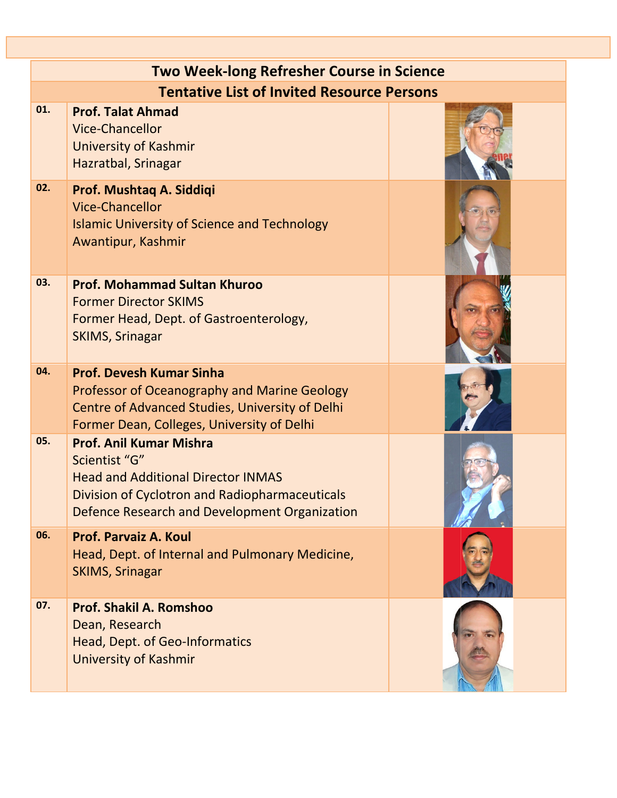|     | <b>Two Week-long Refresher Course in Science</b>                                                                                                                                                |  |  |  |  |
|-----|-------------------------------------------------------------------------------------------------------------------------------------------------------------------------------------------------|--|--|--|--|
|     | <b>Tentative List of Invited Resource Persons</b>                                                                                                                                               |  |  |  |  |
| 01. | <b>Prof. Talat Ahmad</b><br><b>Vice-Chancellor</b><br>University of Kashmir<br>Hazratbal, Srinagar                                                                                              |  |  |  |  |
| 02. | Prof. Mushtaq A. Siddiqi<br><b>Vice-Chancellor</b><br><b>Islamic University of Science and Technology</b><br>Awantipur, Kashmir                                                                 |  |  |  |  |
| 03. | <b>Prof. Mohammad Sultan Khuroo</b><br><b>Former Director SKIMS</b><br>Former Head, Dept. of Gastroenterology,<br><b>SKIMS, Srinagar</b>                                                        |  |  |  |  |
| 04. | <b>Prof. Devesh Kumar Sinha</b><br>Professor of Oceanography and Marine Geology<br>Centre of Advanced Studies, University of Delhi<br>Former Dean, Colleges, University of Delhi                |  |  |  |  |
| 05. | <b>Prof. Anil Kumar Mishra</b><br>Scientist "G"<br><b>Head and Additional Director INMAS</b><br>Division of Cyclotron and Radiopharmaceuticals<br>Defence Research and Development Organization |  |  |  |  |
| 06. | Prof. Parvaiz A. Koul<br>Head, Dept. of Internal and Pulmonary Medicine,<br><b>SKIMS, Srinagar</b>                                                                                              |  |  |  |  |
| 07. | <b>Prof. Shakil A. Romshoo</b><br>Dean, Research<br>Head, Dept. of Geo-Informatics<br>University of Kashmir                                                                                     |  |  |  |  |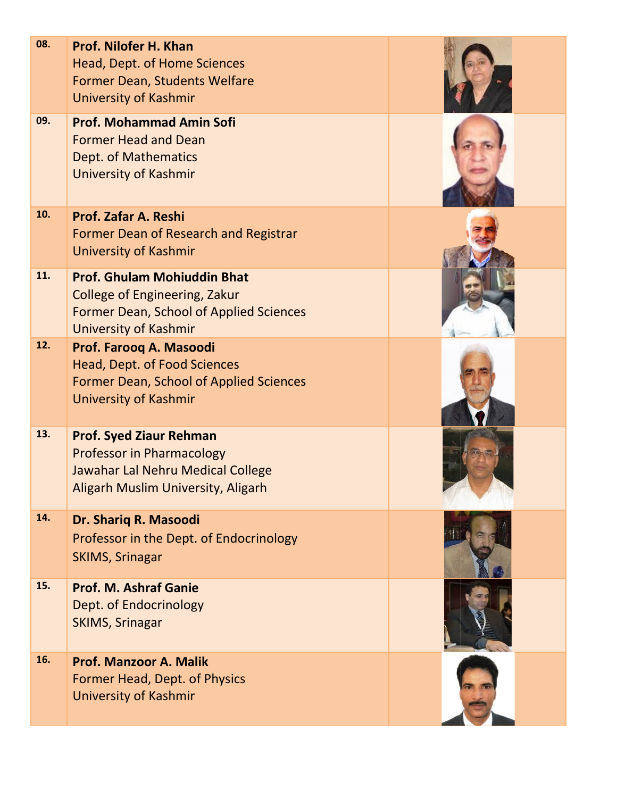| 08. | Prof. Nilofer H. Khan<br>Head, Dept. of Home Sciences<br>Former Dean, Students Welfare<br><b>University of Kashmir</b>                                |  |
|-----|-------------------------------------------------------------------------------------------------------------------------------------------------------|--|
| 09. | <b>Prof. Mohammad Amin Sofi</b><br><b>Former Head and Dean</b><br>Dept. of Mathematics<br><b>University of Kashmir</b>                                |  |
| 10. | Prof. Zafar A. Reshi<br>Former Dean of Research and Registrar<br>University of Kashmir                                                                |  |
| 11. | <b>Prof. Ghulam Mohiuddin Bhat</b><br><b>College of Engineering, Zakur</b><br>Former Dean, School of Applied Sciences<br><b>University of Kashmir</b> |  |
| 12. | Prof. Farooq A. Masoodi<br>Head, Dept. of Food Sciences<br>Former Dean, School of Applied Sciences<br><b>University of Kashmir</b>                    |  |
| 13. | <b>Prof. Syed Ziaur Rehman</b><br><b>Professor in Pharmacology</b><br>Jawahar Lal Nehru Medical College<br>Aligarh Muslim University, Aligarh         |  |
| 14. | Dr. Shariq R. Masoodi<br>Professor in the Dept. of Endocrinology<br><b>SKIMS, Srinagar</b>                                                            |  |
| 15. | <b>Prof. M. Ashraf Ganie</b><br>Dept. of Endocrinology<br><b>SKIMS, Srinagar</b>                                                                      |  |
| 16. | <b>Prof. Manzoor A. Malik</b><br>Former Head, Dept. of Physics<br>University of Kashmir                                                               |  |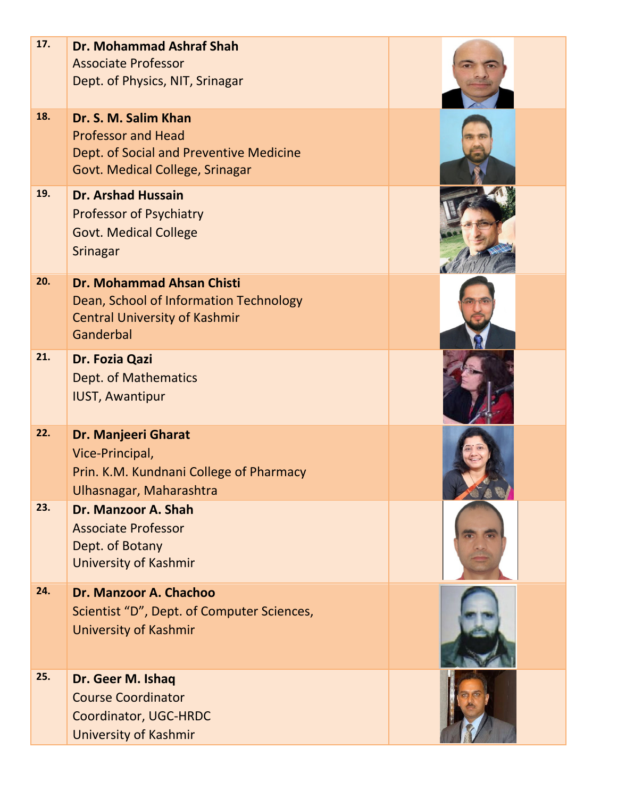| 17. | <b>Dr. Mohammad Ashraf Shah</b><br><b>Associate Professor</b><br>Dept. of Physics, NIT, Srinagar                                |  |
|-----|---------------------------------------------------------------------------------------------------------------------------------|--|
| 18. | Dr. S. M. Salim Khan<br><b>Professor and Head</b><br>Dept. of Social and Preventive Medicine<br>Govt. Medical College, Srinagar |  |
| 19. | <b>Dr. Arshad Hussain</b><br><b>Professor of Psychiatry</b><br><b>Govt. Medical College</b><br><b>Srinagar</b>                  |  |
| 20. | <b>Dr. Mohammad Ahsan Chisti</b><br>Dean, School of Information Technology<br><b>Central University of Kashmir</b><br>Ganderbal |  |
| 21. | Dr. Fozia Qazi<br><b>Dept. of Mathematics</b><br><b>IUST, Awantipur</b>                                                         |  |
| 22. | Dr. Manjeeri Gharat<br>Vice-Principal,<br>Prin. K.M. Kundnani College of Pharmacy<br>Ulhasnagar, Maharashtra                    |  |
| 23. | Dr. Manzoor A. Shah<br><b>Associate Professor</b><br>Dept. of Botany<br><b>University of Kashmir</b>                            |  |
| 24. | Dr. Manzoor A. Chachoo<br>Scientist "D", Dept. of Computer Sciences,<br><b>University of Kashmir</b>                            |  |
| 25. | Dr. Geer M. Ishaq<br><b>Course Coordinator</b><br>Coordinator, UGC-HRDC<br><b>University of Kashmir</b>                         |  |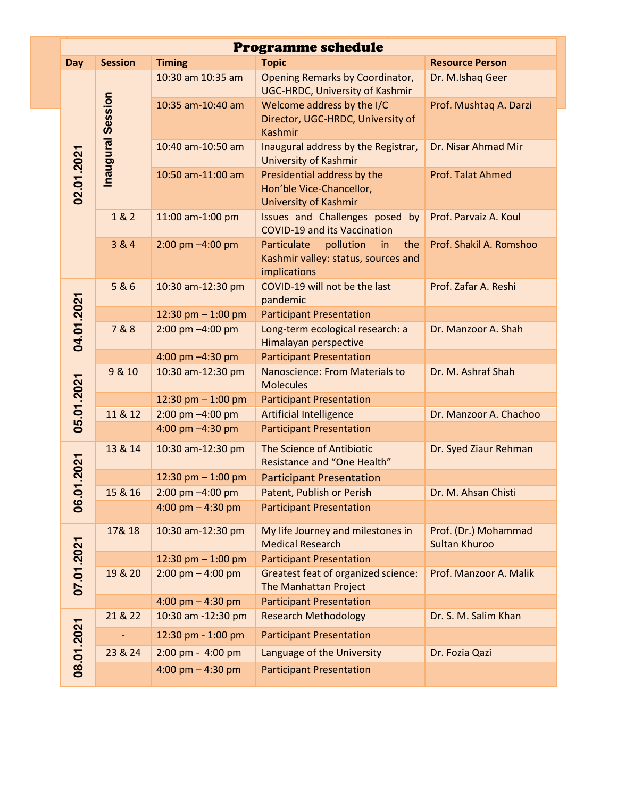|  | <b>Programme schedule</b> |                   |                                     |                                                                                              |                                              |
|--|---------------------------|-------------------|-------------------------------------|----------------------------------------------------------------------------------------------|----------------------------------------------|
|  | Day                       | <b>Session</b>    | <b>Timing</b>                       | <b>Topic</b>                                                                                 | <b>Resource Person</b>                       |
|  |                           | Inaugural Session | 10:30 am 10:35 am                   | Opening Remarks by Coordinator,<br><b>UGC-HRDC, University of Kashmir</b>                    | Dr. M.Ishaq Geer                             |
|  |                           |                   | 10:35 am-10:40 am                   | Welcome address by the I/C<br>Director, UGC-HRDC, University of<br><b>Kashmir</b>            | Prof. Mushtaq A. Darzi                       |
|  | 02.01.2021                |                   | 10:40 am-10:50 am                   | Inaugural address by the Registrar,<br><b>University of Kashmir</b>                          | Dr. Nisar Ahmad Mir                          |
|  |                           |                   | 10:50 am-11:00 am                   | Presidential address by the<br>Hon'ble Vice-Chancellor,<br><b>University of Kashmir</b>      | Prof. Talat Ahmed                            |
|  |                           | 1 & 2             | 11:00 am-1:00 pm                    | Issues and Challenges posed by<br><b>COVID-19 and its Vaccination</b>                        | Prof. Parvaiz A. Koul                        |
|  |                           | 3 & 4             | $2:00 \text{ pm} - 4:00 \text{ pm}$ | pollution<br>Particulate<br>the<br>in<br>Kashmir valley: status, sources and<br>implications | Prof. Shakil A. Romshoo                      |
|  |                           | 5&6               | 10:30 am-12:30 pm                   | COVID-19 will not be the last<br>pandemic                                                    | Prof. Zafar A. Reshi                         |
|  |                           |                   | 12:30 pm $-$ 1:00 pm                | <b>Participant Presentation</b>                                                              |                                              |
|  | 04.01.2021                | 7&8               | 2:00 pm -4:00 pm                    | Long-term ecological research: a<br>Himalayan perspective                                    | Dr. Manzoor A. Shah                          |
|  |                           |                   | 4:00 pm -4:30 pm                    | <b>Participant Presentation</b>                                                              |                                              |
|  | 05.01.2021                | 9 & 10            | 10:30 am-12:30 pm                   | <b>Nanoscience: From Materials to</b><br><b>Molecules</b>                                    | Dr. M. Ashraf Shah                           |
|  |                           |                   | 12:30 pm $-$ 1:00 pm                | <b>Participant Presentation</b>                                                              |                                              |
|  |                           | 11 & 12           | 2:00 pm -4:00 pm                    | <b>Artificial Intelligence</b>                                                               | Dr. Manzoor A. Chachoo                       |
|  |                           |                   | 4:00 pm -4:30 pm                    | <b>Participant Presentation</b>                                                              |                                              |
|  | .2021                     | 13 & 14           | 10:30 am-12:30 pm                   | The Science of Antibiotic<br><b>Resistance and "One Health"</b>                              | Dr. Syed Ziaur Rehman                        |
|  |                           |                   | 12:30 pm $-$ 1:00 pm                | <b>Participant Presentation</b>                                                              |                                              |
|  |                           | 15 & 16           | $2:00 \text{ pm} - 4:00 \text{ pm}$ | Patent, Publish or Perish                                                                    | Dr. M. Ahsan Chisti                          |
|  | 06.0                      |                   | 4:00 pm $-$ 4:30 pm                 | <b>Participant Presentation</b>                                                              |                                              |
|  |                           | 17& 18            | 10:30 am-12:30 pm                   | My life Journey and milestones in<br><b>Medical Research</b>                                 | Prof. (Dr.) Mohammad<br><b>Sultan Khuroo</b> |
|  |                           |                   | 12:30 pm $-$ 1:00 pm                | <b>Participant Presentation</b>                                                              |                                              |
|  | 07.01.2021                | 19 & 20           | $2:00 \text{ pm} - 4:00 \text{ pm}$ | <b>Greatest feat of organized science:</b><br>The Manhattan Project                          | Prof. Manzoor A. Malik                       |
|  |                           |                   | 4:00 pm $-$ 4:30 pm                 | <b>Participant Presentation</b>                                                              |                                              |
|  |                           | 21 & 22           | 10:30 am -12:30 pm                  | <b>Research Methodology</b>                                                                  | Dr. S. M. Salim Khan                         |
|  |                           |                   | 12:30 pm - 1:00 pm                  | <b>Participant Presentation</b>                                                              |                                              |
|  |                           | 23 & 24           | 2:00 pm - 4:00 pm                   | Language of the University                                                                   | Dr. Fozia Qazi                               |
|  | 08.01.2021                |                   | 4:00 pm $-$ 4:30 pm                 | <b>Participant Presentation</b>                                                              |                                              |
|  |                           |                   |                                     |                                                                                              |                                              |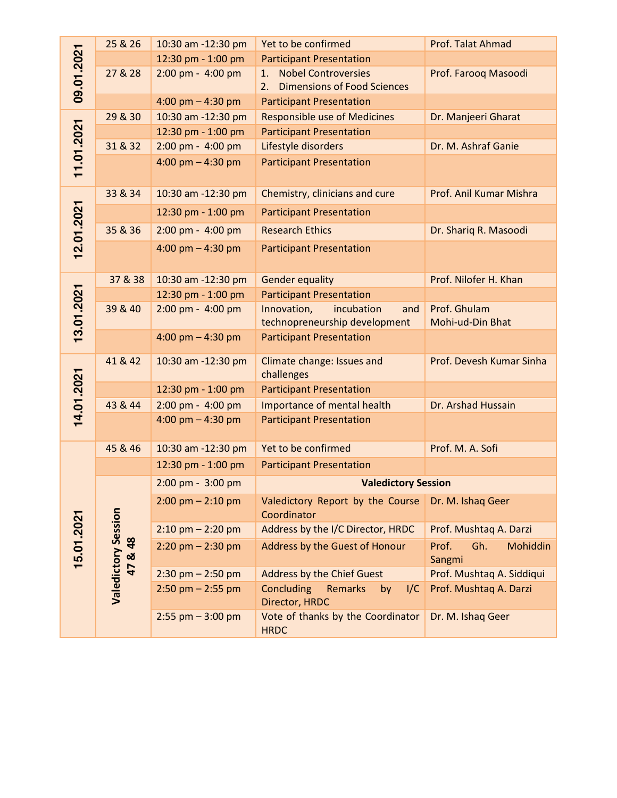|            | 25 & 26                                 | 10:30 am -12:30 pm                  | Yet to be confirmed                                                          | Prof. Talat Ahmad                  |  |
|------------|-----------------------------------------|-------------------------------------|------------------------------------------------------------------------------|------------------------------------|--|
|            |                                         | 12:30 pm - 1:00 pm                  | <b>Participant Presentation</b>                                              |                                    |  |
| 09.01.2021 | 27 & 28                                 | 2:00 pm - 4:00 pm                   | <b>Nobel Controversies</b><br>1.<br><b>Dimensions of Food Sciences</b><br>2. | Prof. Farooq Masoodi               |  |
|            |                                         | 4:00 pm $-$ 4:30 pm                 | <b>Participant Presentation</b>                                              |                                    |  |
|            | 29 & 30                                 | 10:30 am -12:30 pm                  | <b>Responsible use of Medicines</b>                                          | Dr. Manjeeri Gharat                |  |
|            |                                         | 12:30 pm - 1:00 pm                  | <b>Participant Presentation</b>                                              |                                    |  |
|            | 31 & 32                                 | 2:00 pm - 4:00 pm                   | Lifestyle disorders                                                          | Dr. M. Ashraf Ganie                |  |
| 11.01.2021 |                                         | 4:00 pm $-$ 4:30 pm                 | <b>Participant Presentation</b>                                              |                                    |  |
|            | 33 & 34                                 | 10:30 am -12:30 pm                  | Chemistry, clinicians and cure                                               | Prof. Anil Kumar Mishra            |  |
| 12.01.2021 |                                         | 12:30 pm - 1:00 pm                  | <b>Participant Presentation</b>                                              |                                    |  |
|            | 35 & 36                                 | 2:00 pm - 4:00 pm                   | <b>Research Ethics</b>                                                       | Dr. Shariq R. Masoodi              |  |
|            |                                         | 4:00 pm $-$ 4:30 pm                 | <b>Participant Presentation</b>                                              |                                    |  |
|            | 37 & 38                                 | 10:30 am -12:30 pm                  | <b>Gender equality</b>                                                       | Prof. Nilofer H. Khan              |  |
|            |                                         | 12:30 pm - 1:00 pm                  | <b>Participant Presentation</b>                                              |                                    |  |
| 13.01.2021 | 39 & 40                                 | 2:00 pm - 4:00 pm                   | Innovation,<br>incubation<br>and<br>technopreneurship development            | Prof. Ghulam<br>Mohi-ud-Din Bhat   |  |
|            |                                         | 4:00 pm $-$ 4:30 pm                 | <b>Participant Presentation</b>                                              |                                    |  |
|            | 41 & 42                                 | 10:30 am -12:30 pm                  | Climate change: Issues and<br>challenges                                     | Prof. Devesh Kumar Sinha           |  |
| 14.01.2021 |                                         | 12:30 pm - 1:00 pm                  | <b>Participant Presentation</b>                                              |                                    |  |
|            | 43 & 44                                 | 2:00 pm - 4:00 pm                   | Importance of mental health                                                  | Dr. Arshad Hussain                 |  |
|            |                                         | 4:00 pm $-$ 4:30 pm                 | <b>Participant Presentation</b>                                              |                                    |  |
|            | 45 & 46                                 | 10:30 am -12:30 pm                  | Yet to be confirmed                                                          | Prof. M. A. Sofi                   |  |
|            |                                         | 12:30 pm - 1:00 pm                  | <b>Participant Presentation</b>                                              |                                    |  |
|            |                                         | 2:00 pm - 3:00 pm                   | <b>Valedictory Session</b>                                                   |                                    |  |
|            |                                         | $2:00 \text{ pm} - 2:10 \text{ pm}$ | Valedictory Report by the Course<br>Coordinator                              | Dr. M. Ishaq Geer                  |  |
|            |                                         | $2:10$ pm $- 2:20$ pm               | Address by the I/C Director, HRDC                                            | Prof. Mushtaq A. Darzi             |  |
| 15.01.2021 | <b>Valedictory Session</b><br>48<br>47& | $2:20$ pm $- 2:30$ pm               | Address by the Guest of Honour                                               | Prof.<br>Gh.<br>Mohiddin<br>Sangmi |  |
|            |                                         | $2:30$ pm $- 2:50$ pm               | <b>Address by the Chief Guest</b>                                            | Prof. Mushtaq A. Siddiqui          |  |
|            |                                         | $2:50$ pm $- 2:55$ pm               | Concluding<br><b>Remarks</b><br>1/C<br>by<br>Director, HRDC                  | Prof. Mushtaq A. Darzi             |  |
|            |                                         | $2:55$ pm $-3:00$ pm                | Vote of thanks by the Coordinator<br><b>HRDC</b>                             | Dr. M. Ishaq Geer                  |  |